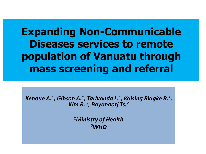# **Expanding Non-Communicable Diseases services to remote population of Vanuatu through mass screening and referral**

*Kepoue A.<sup>1</sup> , Gibson A.<sup>1</sup> , Tarivonda L.<sup>1</sup> , Kaising Biagke R.<sup>1</sup> , Kim R. <sup>2</sup> , Bayandorj Ts.<sup>2</sup>*

> *<sup>1</sup>Ministry of Health 2WHO*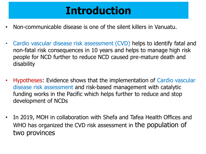# **Introduction**

- Non-communicable disease is one of the silent killers in Vanuatu.
- Cardio vascular disease risk assessment (CVD) helps to identify fatal and non-fatal risk consequences in 10 years and helps to manage high risk people for NCD further to reduce NCD caused pre-mature death and disability
- Hypotheses: Evidence shows that the implementation of Cardio vascular disease risk assessment and risk-based management with catalytic funding works in the Pacific which helps further to reduce and stop development of NCDs
- In 2019, MOH in collaboration with Shefa and Tafea Health Offices and WHO has organized the CVD risk assessment in the population of two provinces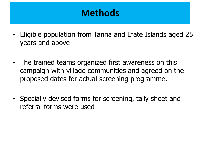# **Methods**

- Eligible population from Tanna and Efate Islands aged 25 years and above
- The trained teams organized first awareness on this campaign with village communities and agreed on the proposed dates for actual screening programme.
- Specially devised forms for screening, tally sheet and referral forms were used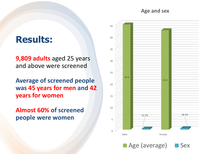**Age and sex**

### **Results:**

**9,809 adults** aged 25 years and above were screened

**Average of screened people was 45 years for men and 42 years for women**

**Almost 60% of screened people were women**

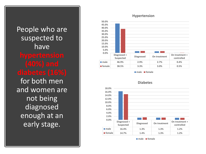People who are suspected to have for both men and women are not being diagnosed enough at an early stage.

#### **Hypertension**



**male female**



#### **Diabetes**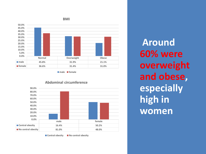



**male female**



**Abdominal circumference**

■ Central obesity ■ No central obesity

**Around 60% were overweight and obese, especially high in women**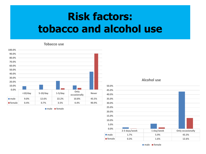# **Risk factors: tobacco and alcohol use**

#### **Tobacco use**



**male female**

#### **Alcohol use**

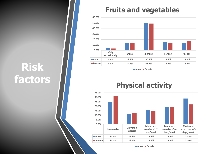# **Risk factors**

### **Fruits and vegetables**



**male female**

### **Physical activity**

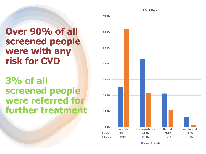**CVD Risk**

## **Over 90% of all screened people were with any risk for CVD**

## **3% of all screened people were referred for further treatment**

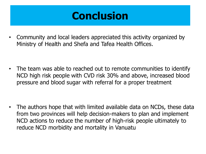# **Conclusion**

• Community and local leaders appreciated this activity organized by Ministry of Health and Shefa and Tafea Health Offices.

• The team was able to reached out to remote communities to identify NCD high risk people with CVD risk 30% and above, increased blood pressure and blood sugar with referral for a proper treatment

• The authors hope that with limited available data on NCDs, these data from two provinces will help decision-makers to plan and implement NCD actions to reduce the number of high-risk people ultimately to reduce NCD morbidity and mortality in Vanuatu